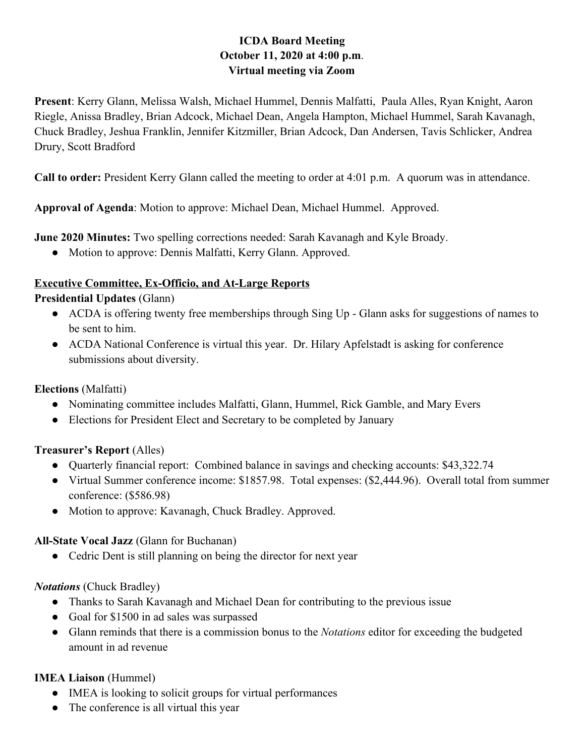# **ICDA Board Meeting October 11, 2020 at 4:00 p.m**. **Virtual meeting via Zoom**

**Present**: Kerry Glann, Melissa Walsh, Michael Hummel, Dennis Malfatti, Paula Alles, Ryan Knight, Aaron Riegle, Anissa Bradley, Brian Adcock, Michael Dean, Angela Hampton, Michael Hummel, Sarah Kavanagh, Chuck Bradley, Jeshua Franklin, Jennifer Kitzmiller, Brian Adcock, Dan Andersen, Tavis Schlicker, Andrea Drury, Scott Bradford

**Call to order:** President Kerry Glann called the meeting to order at 4:01 p.m. A quorum was in attendance.

**Approval of Agenda**: Motion to approve: Michael Dean, Michael Hummel. Approved.

**June 2020 Minutes:** Two spelling corrections needed: Sarah Kavanagh and Kyle Broady.

• Motion to approve: Dennis Malfatti, Kerry Glann. Approved.

### **Executive Committee, Ex-Officio, and At-Large Reports**

#### **Presidential Updates** (Glann)

- ACDA is offering twenty free memberships through Sing Up Glann asks for suggestions of names to be sent to him.
- ACDA National Conference is virtual this year. Dr. Hilary Apfelstadt is asking for conference submissions about diversity.

### **Elections** (Malfatti)

- Nominating committee includes Malfatti, Glann, Hummel, Rick Gamble, and Mary Evers
- Elections for President Elect and Secretary to be completed by January

#### **Treasurer's Report** (Alles)

- Quarterly financial report: Combined balance in savings and checking accounts: \$43,322.74
- Virtual Summer conference income: \$1857.98. Total expenses: (\$2,444.96). Overall total from summer conference: (\$586.98)
- Motion to approve: Kavanagh, Chuck Bradley. Approved.

#### **All-State Vocal Jazz** (Glann for Buchanan)

• Cedric Dent is still planning on being the director for next year

### *Notations* (Chuck Bradley)

- Thanks to Sarah Kavanagh and Michael Dean for contributing to the previous issue
- Goal for \$1500 in ad sales was surpassed
- Glann reminds that there is a commission bonus to the *Notations* editor for exceeding the budgeted amount in ad revenue

### **IMEA Liaison** (Hummel)

- IMEA is looking to solicit groups for virtual performances
- The conference is all virtual this year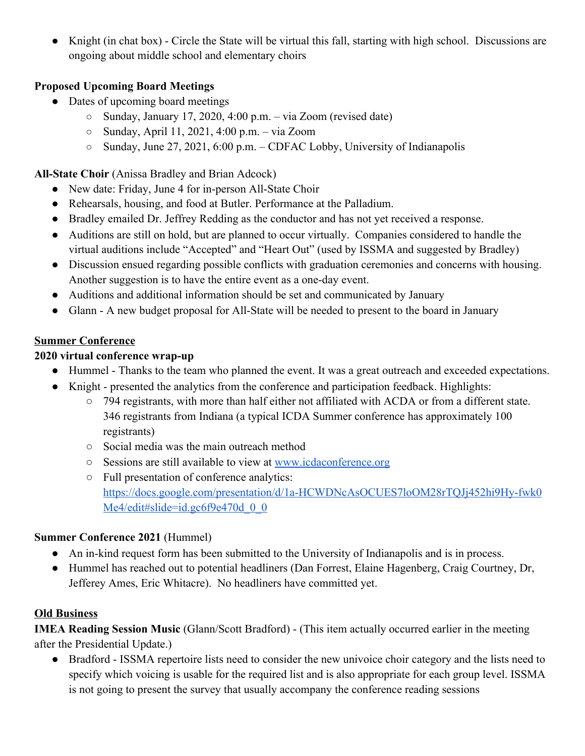● Knight (in chat box) - Circle the State will be virtual this fall, starting with high school. Discussions are ongoing about middle school and elementary choirs

# **Proposed Upcoming Board Meetings**

- Dates of upcoming board meetings
	- $\circ$  Sunday, January 17, 2020, 4:00 p.m. via Zoom (revised date)
	- Sunday, April 11, 2021, 4:00 p.m. via Zoom
	- Sunday, June 27, 2021, 6:00 p.m. CDFAC Lobby, University of Indianapolis

### **All-State Choir** (Anissa Bradley and Brian Adcock)

- New date: Friday, June 4 for in-person All-State Choir
- Rehearsals, housing, and food at Butler. Performance at the Palladium.
- Bradley emailed Dr. Jeffrey Redding as the conductor and has not yet received a response.
- Auditions are still on hold, but are planned to occur virtually. Companies considered to handle the virtual auditions include "Accepted" and "Heart Out" (used by ISSMA and suggested by Bradley)
- Discussion ensued regarding possible conflicts with graduation ceremonies and concerns with housing. Another suggestion is to have the entire event as a one-day event.
- Auditions and additional information should be set and communicated by January
- Glann A new budget proposal for All-State will be needed to present to the board in January

## **Summer Conference**

### **2020 virtual conference wrap-up**

- Hummel Thanks to the team who planned the event. It was a great outreach and exceeded expectations.
- Knight presented the analytics from the conference and participation feedback. Highlights:
	- 794 registrants, with more than half either not affiliated with ACDA or from a different state. 346 registrants from Indiana (a typical ICDA Summer conference has approximately 100 registrants)
	- Social media was the main outreach method
	- Sessions are still available to view at [www.icdaconference.org](http://www.icdaconference.org/)
	- Full presentation of conference analytics: [https://docs.google.com/presentation/d/1a-HCWDNcAsOCUES7loOM28rTQJj452hi9Hy-fwk0](https://docs.google.com/presentation/d/1a-HCWDNcAsOCUES7loOM28rTQJj452hi9Hy-fwk0Me4/edit#slide=id.gc6f9e470d_0_0) Me4/edit#slide=id.gc6f9e470d 0 0

### **Summer Conference 2021** (Hummel)

- An in-kind request form has been submitted to the University of Indianapolis and is in process.
- Hummel has reached out to potential headliners (Dan Forrest, Elaine Hagenberg, Craig Courtney, Dr, Jefferey Ames, Eric Whitacre). No headliners have committed yet.

### **Old Business**

**IMEA Reading Session Music** (Glann/Scott Bradford) - (This item actually occurred earlier in the meeting after the Presidential Update.)

• Bradford - ISSMA repertoire lists need to consider the new univoice choir category and the lists need to specify which voicing is usable for the required list and is also appropriate for each group level. ISSMA is not going to present the survey that usually accompany the conference reading sessions